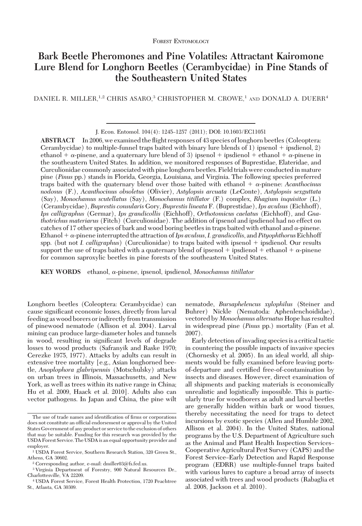# **Bark Beetle Pheromones and Pine Volatiles: Attractant Kairomone Lure Blend for Longhorn Beetles (Cerambycidae) in Pine Stands of the Southeastern United States**

DANIEL R. MILLER,<sup>1,2</sup> CHRIS ASARO,<sup>3</sup> CHRISTOPHER M. CROWE,<sup>1</sup> AND DONALD A. DUERR<sup>4</sup>

**ABSTRACT** In 2006, we examined the ßight responses of 43 species oflonghorn beetles (Coleoptera: Cerambycidae) to multiple-funnel traps baited with binary lure blends of  $1$ ) ipsenol + ipsdienol,  $2$ ) ethanol  $+ \alpha$ -pinene, and a quaternary lure blend of 3) ipsenol  $+$  ipsdienol  $+$  ethanol  $+ \alpha$ -pinene in the southeastern United States. In addition, we monitored responses of Buprestidae, Elateridae, and Curculionidae commonly associated with pine longhorn beetles. Field trials were conducted in mature pine (*Pinus* pp.) stands in Florida, Georgia, Louisiana, and Virginia. The following species preferred traps baited with the quaternary blend over those baited with ethanol  $+ \alpha$ -pinene: *Acanthocinus nodosus* (F.), *Acanthocinus obsoletus* (Olivier), *Astylopsis arcuata* (LeConte), *Astylopsis sexguttata* (Say), *Monochamus scutellatus* (Say), *Monochamus titillator* (F.) complex, *Rhagium inquisitor* (L.) (Cerambycidae), *Buprestis consularis* Gory, *Buprestis lineata* F. (Buprestidae), *Ips avulsus* (Eichhoff), *Ips calligraphus* (Germar), *Ips grandicollis* (Eichhoff), *Orthotomicus caelatus* (Eichhoff), and *Gnathotrichus materiarus* (Fitch) (Curculionidae). The addition of ipsenol and ipsdienol had no effect on catches of 17 other species of bark and wood boring beetles in traps baited with ethanol and  $\alpha$ -pinene. Ethanol  $+ \alpha$ -pinene interrupted the attraction of Ips avulsus, I. grandicollis, and Pityophthorus Eichhoff spp. (but not *I. calligraphus*) (Curculionidae) to traps baited with ipsenol + ipsdienol. Our results support the use of traps baited with a quaternary blend of ipsenol  $+$  ipsdienol  $+$  ethanol  $+$   $\alpha$ -pinene for common saproxylic beetles in pine forests of the southeastern United States.

**KEY WORDS** ethanol, α-pinene, ipsenol, ipsdienol, *Monochamus titillator* 

Longhorn beetles (Coleoptera: Cerambycidae) can cause significant economic losses, directly from larval feeding as wood borers or indirectly from transmission of pinewood nematode (Allison et al. 2004). Larval mining can produce large-diameter holes and tunnels in wood, resulting in significant levels of degrade losses to wood products (Safranyik and Raske 1970; Cerezke 1975, 1977). Attacks by adults can result in extensive tree mortality [e.g., Asian longhorned beetle, *Anoplophora glabripennis* (Motschulsky) attacks on urban trees in Illinois, Massachusetts, and New York, as well as trees within its native range in China; Hu et al. 2009, Haack et al. 2010]. Adults also can vector pathogens. In Japan and China, the pine wilt

nematode, *Bursaphelencus xylophilus* (Steiner and Buhrer) Nickle (Nematoda: Aphenlenchoididae), vectored by *Monochamus alternatus* Hope has resulted in widespread pine (*Pinus* pp.) mortality (Fan et al. 2007).

Early detection of invading species is a critical tactic in countering the possible impacts of invasive species (Chornesky et al. 2005). In an ideal world, all shipments would be fully examined before leaving portsof-departure and certified free-of-contamination by insects and diseases. However, direct examination of all shipments and packing materials is economically unrealistic and logistically impossible. This is particularly true for woodborers as adult and larval beetles are generally hidden within bark or wood tissues, thereby necessitating the need for traps to detect incursions by exotic species (Allen and Humble 2002, Allison et al. 2004). In the United States, national programs by the U.S. Department of Agriculture such as the Animal and Plant Health Inspection Services– Cooperative Agricultural Pest Survey (CAPS) and the Forest Service–Early Detection and Rapid Response program (EDRR) use multiple-funnel traps baited with various lures to capture a broad array of insects associated with trees and wood products (Rabaglia et al. 2008, Jackson et al. 2010).

J. Econ. Entomol. 104(4): 1245-1257 (2011); DOI: 10.1603/EC11051

The use of trade names and identification of firms or corporations does not constitute an official endorsement or approval by the United States Government of any product or service to the exclusion of others that may be suitable. Funding for this research was provided by the USDA Forest Service. The USDA is an equal opportunity provider and employer.

<sup>1</sup> USDA Forest Service, Southern Research Station, 320 Green St., Athens, GA 30602.

<sup>2</sup> Corresponding author, e-mail: dmiller03@fs.fed.us.

<sup>3</sup> Virginia Department of Forestry, 900 Natural Resources Dr., Charlottesville, VA 22209.

<sup>4</sup> USDA Forest Service, Forest Health Protection, 1720 Peachtree St., Atlanta, GA 30309.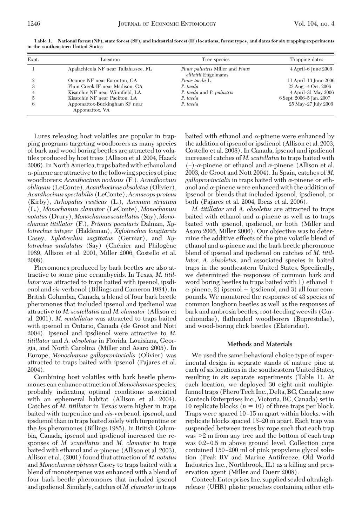| Expt. | Location                                        | Tree species                                            | Trapping dates           |  |  |
|-------|-------------------------------------------------|---------------------------------------------------------|--------------------------|--|--|
|       | Apalachicola NF near Tallahassee, FL            | Pinus palustris Miller and Pinus<br>elliottii Engelmann | 4 April–6 June 2006      |  |  |
|       | Oconee NF near Eatonton, GA                     | Pinus taeda L.                                          | 11 April-13 June 2006    |  |  |
|       | Plum Creek IF near Madison, GA                  | P. taeda                                                | 23 Aug. - 4 Oct. 2006    |  |  |
|       | Kisatchie NF near Winnfield, LA                 | P. taeda and P. palustris                               | 4 April-31 May 2006      |  |  |
|       | Kisatchie NF near Packton, LA                   | P. taeda                                                | 6 Sept. 2006-5 Jan. 2007 |  |  |
|       | Appomattox-Buckingham SF near<br>Appomattox, VA | P. taeda                                                | 25 May-27 July 2006      |  |  |

**Table 1. National forest (NF), state forest (SF), and industrial forest (IF) locations, forest types, and dates for six trapping experiments in the southeastern United States**

Lures releasing host volatiles are popular in trapping programs targeting woodborers as many species of bark and wood boring beetles are attracted to volatiles produced by host trees (Allison et al. 2004, Haack 2006). In North America, traps baited with ethanol and  $\alpha$ -pinene are attractive to the following species of pine woodborers: *Acanthocinus nodosus* (F.), *Acanthocinus obliquus* (LeConte), *Acanthocinus obsoletus* (Olivier), *Acanthocinus spectabilis* (LeConte), *Acmaeops proteus* (Kirby), *Arhopalus rusticus* (L.), *Asemum striatum* (L.), *Monochamus clamator* (LeConte), *Monochamus notatus* (Drury), *Monochamus scutellatus* (Say), *Monochamus titillator* (F.), *Prionus pocularis* Dalman, *Xylotrechus integer* (Haldeman), *Xylotrechus longitarsis* Casey, *Xylotrechus sagittatus* (Germar), and *Xy*lotrechus undulatus (Say) (Chénier and Philogène 1989, Allison et al. 2001, Miller 2006, Costello et al. 2008).

Pheromones produced by bark beetles are also attractive to some pine cerambycids. In Texas, *M. titillator* was attracted to traps baited with ipsenol, ipsdienol and *cis*-verbenol (Billings and Cameron 1984). In British Columbia, Canada, a blend of four bark beetle pheromones that included ipsenol and ipsdienol was attractive to *M. scutellatus* and *M. clamator* (Allison et al. 2001). *M. scutellatus* was attracted to traps baited with ipsenol in Ontario, Canada (de Groot and Nott 2004). Ipsenol and ipsdienol were attractive to *M. titillator* and *A. obsoletus* in Florida, Louisiana, Georgia, and North Carolina (Miller and Asaro 2005). In Europe, *Monochamus galloprovincialis* (Olivier) was attracted to traps baited with ipsenol (Pajares et al. 2004).

Combining host volatiles with bark beetle pheromones can enhance attraction of *Monochamus*species, probably indicating optimal conditions associated with an ephemeral habitat (Allison et al. 2004). Catches of *M. titillator* in Texas were higher in traps baited with turpentine and *cis*-verbenol, ipsenol, and ipsdienol than in traps baited solely with turpentine or the *Ips* pheromones (Billings 1985). In British Columbia, Canada, ipsenol and ipsdienol increased the responses of *M. scutellatus* and *M. clamator* to traps baited with ethanol and  $\alpha$ -pinene (Allison et al. 2003). Allison et al. (2001) found that attraction of *M. notatus* and *Monochamus obtusus* Casey to traps baited with a blend of monoterpenes was enhanced with a blend of four bark beetle pheromones that included ipsenol and ipsdienol. Similarly, catches of *M. clamator* in traps baited with ethanol and  $\alpha$ -pinene were enhanced by the addition of ipsenol or ipsdienol (Allison et al. 2003, Costello et al. 2008). In Canada, ipsenol and ipsdienol increased catches of *M. scutellatus*to traps baited with  $(-)$ - $\alpha$ -pinene or ethanol and  $\alpha$ -pinene (Allison et al. 2003, de Groot and Nott 2004). In Spain, catches of *M.*  $\alpha$ *galloprovincialis* in traps baited with  $\alpha$ -pinene or ethanol and  $\alpha$ -pinene were enhanced with the addition of ipsenol or blends that included ipsenol, ipsdienol, or both (Pajares et al. 2004, Ibeas et al. 2006).

*M. titillator* and *A. obsoletus* are attracted to traps baited with ethanol and  $\alpha$ -pinene as well as to traps baited with ipsenol, ipsdienol, or both (Miller and Asaro 2005, Miller 2006). Our objective was to determine the additive effects of the pine volatile blend of ethanol and  $\alpha$ -pinene and the bark beetle pheromone blend of ipsenol and ipsdienol on catches of *M. titillator, A. obsoletus,* and associated species in baited traps in the southeastern United States. Specifically, we determined the responses of common bark and word boring beetles to traps baited with 1) ethanol  $\alpha$ -pinene, 2) ipsenol + ipsdienol, and 3) all four compounds. We monitored the responses of 43 species of common longhorn beetles as well as the responses of bark and ambrosia beetles, root-feeding weevils (Curculionidae), ßatheaded woodborers (Buprestidae), and wood-boring click beetles (Elateridae).

## **Methods and Materials**

We used the same behavioral choice type of experimental design in separate stands of mature pine at each of six locations in the southeastern United States, resulting in six separate experiments (Table 1). At each location, we deployed 30 eight-unit multiplefunnel traps (Phero Tech Inc., Delta, BC, Canada; now Contech Enterprises Inc., Victoria, BC, Canada) set in 10 replicate blocks  $(n = 10)$  of three traps per block. Traps were spaced 10–15 m apart within blocks, with replicate blocks spaced 15Ð20 m apart. Each trap was suspended between trees by rope such that each trap  $was > 2$  m from any tree and the bottom of each trap was  $0.2-0.5$  m above ground level. Collection cups contained 150–200 ml of pink propylene glycol solution (Peak RV and Marine Antifreeze, Old World Industries Inc., Northbrook, IL) as a killing and preservation agent (Miller and Duerr 2008).

Contech Enterprises Inc. supplied sealed ultrahighrelease (UHR) plastic pouches containing either eth-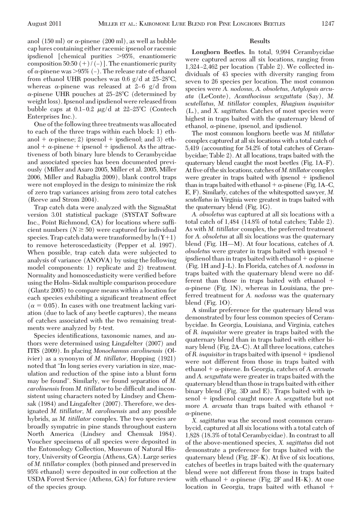anol (150 ml) or  $\alpha$ -pinene (200 ml), as well as bubble cap lures containing either racemic ipsenol or racemic ipsdienol [chemical purities 95%, enantiomeric composition 50:50  $(+)$  /  $(-)$ ]. The enantiomeric purity of  $\alpha$ -pinene was >95% (–). The release rate of ethanol from ethanol UHR pouches was  $0.6$  g/d at  $25-28$ °C, whereas  $\alpha$ -pinene was released at 2–6 g/d from  $\alpha$ -pinene UHR pouches at 25–28°C (determined by weight loss). Ipsenol and ipsdienol were released from bubble caps at 0.1–0.2 μg/d at 22–25°C (Contech Enterprises Inc.).

One of the following three treatments was allocated to each of the three traps within each block: 1) ethanol +  $\alpha$ -pinene; 2) ipsenol + ipsdienol; and 3) ethanol  $+ \alpha$ -pinene  $+$  ipsenol  $+$  ipsdienol. As the attractiveness of both binary lure blends to Cerambycidae and associated species has been documented previously (Miller and Asaro 2005, Miller et al. 2005, Miller 2006, Miller and Rabaglia 2009), blank control traps were not employed in the design to minimize the risk of zero trap variances arising from zero total catches (Reeve and Strom 2004).

Trap catch data were analyzed with the SigmaStat version 3.01 statistical package (SYSTAT Software Inc., Point Richmond, CA) for locations where sufficient numbers  $(N \geq 50)$  were captured for individual species. Trap catch data were transformed by  $\ln(Y+1)$ to remove heteroscedasticity (Pepper et al. 1997). When possible, trap catch data were subjected to analysis of variance (ANOVA) by using the following model components: 1) replicate and 2) treatment. Normality and homoscedasticity were verified before using the Holm-Sidak multiple comparison procedure (Glantz 2005) to compare means within a location for each species exhibiting a significant treatment effect  $(\alpha = 0.05)$ . In cases with one treatment lacking variation (due to lack of any beetle captures), the means of catches associated with the two remaining treatments were analyzed by *t*-test.

Species identifications, taxonomic names, and authors were determined using Lingafelter (2007) and ITIS (2009). In placing *Monochamus carolinensis* (Olivier) as a synonym of *M. titillator,* Hopping (1921) noted that "In long series every variation in size, maculation and reduction of the spine into a blunt form may be found". Similarly, we found separation of *M. carolinensis* from *M. titillator* to be difficult and inconsistent using characters noted by Lindsey and Chemsak (1984) and Lingafelter (2007). Therefore, we designated *M. titillator, M. carolinensis* and any possible hybrids, as *M. titillator* complex. The two species are broadly sympatric in pine stands throughout eastern North America (Lindsey and Chemsak 1984). Voucher specimens of all species were deposited in the Entomology Collection, Museum of Natural History, University of Georgia (Athens, GA). Large series of *M. titillator* complex (both pinned and preserved in 95% ethanol) were deposited in our collection at the USDA Forest Service (Athens, GA) for future review of the species group.

## **Results**

**Longhorn Beetles.** In total, 9,994 Cerambycidae were captured across all six locations, ranging from 1,324-2,462 per location (Table 2). We collected individuals of 43 species with diversity ranging from seven to 26 species per location. The most common species were *A. nodosus, A. obsoletus, Astylopsis arcuata* (LeConte), *Acanthocinus sexguttata* (Say), *M. scutellatus, M. titillator* complex, *Rhagium inquisitor* (L.), and *X. sagittatus.* Catches of most species were highest in traps baited with the quaternary blend of ethanol,  $\alpha$ -pinene, ipsenol, and ipsdienol.

The most common longhorn beetle was *M. titillator* complex captured at all six locations with a total catch of 5,419 (accounting for 54.2% of total catches of Cerambycidae; Table 2). At all locations, traps baited with the quaternary blend caught the most beetles (Fig. 1A–F). At five of the six locations, catches of *M. titillator* complex were greater in traps baited with ipsenol  $+$  ipsdienol than in traps baited with ethanol +  $\alpha$ -pinene (Fig. 1A–C, E, F). Similarly, catches of the whitespotted sawyer, *M. scutellatus* in Virginia were greatest in traps baited with the quaternary blend (Fig. 1G).

*A. obsoletus* was captured at all six locations with a total catch of 1,484 (14.8% of total catches; Table 2). As with *M. titillator* complex, the preferred treatment for *A. obsoletus* at all six locations was the quaternary blend (Fig. 1H—M). At four locations, catches of *A*. *obsoletus* were greater in traps baited with ipsenol ipsdienol than in traps baited with ethanol  $+ \alpha$ -pinene (Fig. 1H and J-L). In Florida, catches of *A. nodosus* in traps baited with the quaternary blend were no different than those in traps baited with ethanol  $\alpha$ -pinene (Fig. 1N), whereas in Louisiana, the preferred treatment for *A. nodosus* was the quaternary blend (Fig. 1O).

A similar preference for the quaternary blend was demonstrated by four less common species of Cerambycidae. In Georgia, Louisiana, and Virginia, catches of *R. inquisitor* were greater in traps baited with the quaternary blend than in traps baited with either binary blend (Fig.  $2A-C$ ). At all three locations, catches of *R. inquisitor* in traps baited with ipsenol + ipsdienol were not different from those in traps baited with ethanol  $+ \alpha$ -pinene. In Georgia, catches of *A. arcuata* and *A. sexguttata* were greater in traps baited with the quaternary blend than thosein traps baited with either binary blend (Fig. 3D and E). Traps baited with ipsenol + ipsdienol caught more *A. sexguttata* but not more *A. arcuata* than traps baited with ethanol  $\alpha$ -pinene.

*X. sagittatus* was the second most common cerambycid, captured at all six locations with a total catch of 1,828 (18.3% of total Cerambycidae). In contrast to all of the above-mentioned species, *X. sagittatus* did not demonstrate a preference for traps baited with the quaternary blend  $(Fig. 2F-K)$ . At five of six locations, catches of beetles in traps baited with the quaternary blend were not different from those in traps baited with ethanol  $+ \alpha$ -pinene (Fig. 2F and H–K). At one location in Georgia, traps baited with ethanol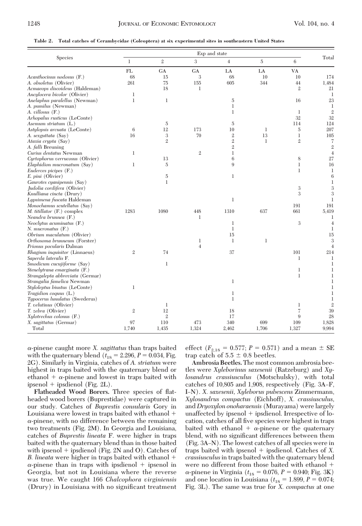**Table 2. Total catches of Cerambycidae (Coleoptera) at six experimental sites in southeastern United States**

|                                  | Exp and state  |                |                |                |                |                |                |
|----------------------------------|----------------|----------------|----------------|----------------|----------------|----------------|----------------|
| Species                          | $\mathbf{1}$   | $\mathfrak{2}$ | 3              | $\overline{4}$ | $\overline{5}$ | 6              | Total          |
|                                  | FL             | <b>GA</b>      | <b>GA</b>      | LA             | LA             | VA             |                |
| Acanthocinus nodosus (F.)        | 68             | 15             | 3              | 68             | 10             | 10             | 174            |
| A. obsoletus (Olivier)           | 261            | 75             | 155            | 605            | 344            | 44             | 1,484          |
| Acmaeops discoideus (Haldeman)   |                | 18             | $\mathbf{1}$   |                |                | $\overline{2}$ | 21             |
| Ancylocera bicolor (Olivier)     | $\mathbf{1}$   |                |                |                |                |                |                |
| Anelaphus paralellus (Newman)    | $\mathbf{1}$   | $\mathbf{1}$   |                | $\overline{5}$ |                | 16             | 23             |
| A. pumilus (Newman)              |                |                |                | $\mathbf{1}$   |                |                | 1              |
| A. villosus (F.)                 |                |                |                | $\mathbf{1}$   |                | $\mathbf{1}$   | $\overline{2}$ |
| Arhopalus rusticus (LeConte)     |                |                |                |                |                | 32             | 32             |
| Asemum striatum $(L)$            |                | $\overline{5}$ |                | 5              |                | 114            | 124            |
| Astylopsis arcuata (LeConte)     | 6              | 12             | 173            | 10             | 1              | 5              | 207            |
| A. sexguttata (Say)              | 16             | 3              | 70             | $\mathfrak{2}$ | 13             | $\mathbf{1}$   | 105            |
| Ataxia crypta (Say)              |                | $\mathbf{2}$   |                | $\overline{2}$ | $\mathbf{1}$   | $\mathbf 2$    | 7              |
| A. falli Breuning                |                |                |                | $\overline{2}$ |                |                | $\mathfrak{2}$ |
| Curius dentatus Newman           | 1              |                | $\mathbf{2}$   | $\mathbf{1}$   |                |                |                |
| Curtophorus verrucosus (Olivier) |                | 13             |                | 6              |                | 8              | 27             |
| Elaphidion mucronatum (Say)      | $\mathbf{1}$   | $\overline{5}$ |                | 9              |                | $\mathbf{1}$   | 16             |
| Euderces picipes (F.)            |                |                |                |                |                | $\mathbf{1}$   | 1              |
| E. pini (Olivier)                |                | $\overline{5}$ |                | $\mathbf{1}$   |                |                | 6              |
| Gaurotes cyanipennis (Say)       |                | $\mathbf{1}$   |                |                |                |                |                |
| Judolia cordifera (Olivier)      |                |                |                |                |                | 3              | 3              |
| Knulliana cincta (Drury)         |                |                |                |                |                | 3              | 3              |
| Lypsimena fuscata Haldeman       |                |                |                | $\,1$          |                |                | 1              |
| Monochamus scutellatus (Say)     |                |                |                |                |                | 191            | 191            |
| M. titillator (F.) complex       | 1283           | 1080           | 448            | 1310           | 637            | 661            | 5,419          |
| Neandra brunnea (F.)             |                |                | $\mathbf{1}$   |                |                |                |                |
| Neoclytus acuminatus $(F)$ .     |                |                |                | $\mathbf{1}$   |                | $\,3$          | 4              |
| $N.$ mucronatus $(F.)$           |                |                |                | $\mathbf{1}$   |                |                | 1              |
| Obrium maculatum (Olivier)       |                |                |                | 15             |                |                | 15             |
| Orthosoma brunneum (Forster)     |                |                | $\mathbf{1}$   | $\mathbf{1}$   | $\mathbf{1}$   |                | 3              |
| Prionus pocularis Dalman         |                |                | $\overline{4}$ |                |                |                |                |
|                                  | $\mathfrak{2}$ | 74             |                | 37             |                | 101            | 214            |
| Rhagium inquisitor (Linnaeus)    |                |                |                |                |                | $\mathbf{1}$   |                |
| Saperda lateralis F.             |                |                |                |                |                |                | 1<br>1         |
| Smodicum cucujiforme (Say)       |                | $\mathbf{1}$   |                |                |                |                |                |
| Stenelytrana emarginata (F.)     |                |                |                |                |                | $\mathbf{1}$   |                |
| Strangalepta abbreviata (Germar) |                |                |                |                |                | $\mathbf 1$    |                |
| Strangalia famelica Newman       |                |                |                | $\mathbf{1}$   |                |                |                |
| Styloleptus biustus (LeConte)    | $\mathbf{1}$   |                |                |                |                |                |                |
| Tragidion coquus (L.)            |                |                |                | 1              |                |                |                |
| Typocerus lunulatus (Swederus)   |                |                |                | $\mathbf{1}$   |                |                |                |
| T. velutinus (Olivier)           |                | 1              |                |                |                | 1              |                |
| T. zebra (Olivier)               | $\,2$          | 12             |                | 18             |                | 7              | 39             |
| Xylotrechus colonus (F.)         |                | $\mathbf{2}$   |                | 17             |                | 9              | 28             |
| X. sagittatus (Germar)           | 97             | 110            | 473            | 340            | 699            | 109            | 1,828          |
| Total                            | 1,740          | 1,435          | 1,324          | 2,462          | 1,706          | 1,327          | 9,994          |

-pinene caught more *X. sagittatus* than traps baited with the quaternary blend  $(t_{18} = 2.296, P = 0.034, Fig.$ 2G). Similarly in Virginia, catches of *A. striatum* were highest in traps baited with the quaternary blend or ethanol  $+$   $\alpha$ -pinene and lowest in traps baited with ipsenol + ipsdienol (Fig. 2L).

**Flatheaded Wood Borers.** Three species of ßatheaded wood borers (Buprestidae) were captured in our study. Catches of *Buprestis consularis* Gory in Louisiana were lowest in traps baited with ethanol  $\alpha$ -pinene, with no difference between the remaining two treatments (Fig. 2M). In Georgia and Louisiana, catches of *Buprestis lineata* F. were higher in traps baited with the quaternary blend than in those baited with ipsenol  $+$  ipsdienol (Fig. 2N and O). Catches of *B. lineata* were higher in traps baited with ethanol  $\alpha$ -pinene than in traps with ipsdienol + ipsenol in Georgia, but not in Louisiana where the reverse was true. We caught 166 *Chalcophora virginiensis* (Drury) in Louisiana with no significant treatment

effect ( $F_{2,18} = 0.577; P = 0.571$ ) and a mean  $\pm$  SE trap catch of  $5.5 \pm 0.8$  beetles.

**Ambrosia Beetles.**The most common ambrosia beetles were *Xyleborinus saxesenii* (Ratzeburg) and *Xylosandrus crassiusculus* (Motschulsky), with total catches of 10,805 and 1,908, respectively (Fig. 3A-F, IÐN). *X. saxesenii, Xyleborus pubescens* Zimmermann, *Xylosandrus compactus* (Eichhoff), *X. crassiusculus,* and *Dryoxylon onoharaensis* (Murayama) were largely unaffected by ipsenol  $+$  ipsdienol. Irrespective of location, catches of all five species were highest in traps baited with ethanol  $+ \alpha$ -pinene or the quaternary blend, with no significant differences between them  $(Fig. 3A-N)$ . The lowest catches of all species were in traps baited with ipsenol + ipsdienol. Catches of *X*. *crassiusculus*in traps baited with the quaternary blend were no different from those baited with ethanol  $\alpha$ -pinene in Virginia ( $t_{18} = 0.076, P = 0.940;$  Fig. 3K) and one location in Louisiana ( $t_{18} = 1.899, P = 0.074;$ Fig. 3L). The same was true for *X. compactus* at one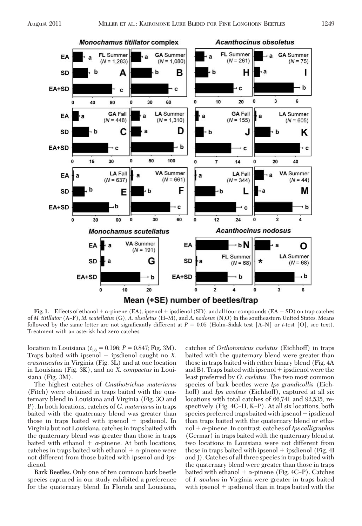

**Fig. 1.** Effects of ethanol  $+\alpha$ -pinene (EA), ipsenol  $+\beta$  ipsdienol (SD), and all four compounds (EA  $+\text{SD}$ ) on trap catches of *M. titillator* (A–F), *M. scutellatus* (G), *A. obsoletus* (H–M), and *A. nodosus* (N,O) in the southeastern United States. Means followed by the same letter are not significantly different at  $P = 0.05$  (Holm–Sidak test [A–N] or *t*-test [O], see text). Treatment with an asterisk had zero catches.

location in Louisiana ( $t_{18} = 0.196; P = 0.847; Fig. 3M$ ). Traps baited with ipsenol  $+$  ipsdienol caught no *X*. *crassiusculus* in Virginia (Fig. 3L) and at one location in Louisiana (Fig. 3K), and no *X. compactus* in Louisiana (Fig. 3M).

The highest catches of *Gnathotrichus materiarus* (Fitch) were obtained in traps baited with the quaternary blend in Louisiana and Virginia (Fig. 3O and P). In both locations, catches of *G. materiarus* in traps baited with the quaternary blend was greater than those in traps baited with ipsenol  $+$  ipsdienol. In Virginia but not Louisiana, catches in traps baited with the quaternary blend was greater than those in traps baited with ethanol  $+ \alpha$ -pinene. At both locations, catches in traps baited with ethanol  $+ \alpha$ -pinene were not different from those baited with ipsenol and ipsdienol.

**Bark Beetles.** Only one of ten common bark beetle species captured in our study exhibited a preference for the quaternary blend. In Florida and Louisiana,

catches of *Orthotomicus caelatus* (Eichhoff) in traps baited with the quaternary blend were greater than those in traps baited with either binary blend (Fig. 4A and B). Traps baited with ipsenol  $+$  ipsdienol were the least preferred by *O. caelatus.* The two most common species of bark beetles were *Ips grandicollis* (Eichhoff) and *Ips avulsus* (Eichhoff), captured at all six locations with total catches of 66,741 and 92,535, respectively (Fig.  $4C-H$ , K–P). At all six locations, both species preferred traps baited with ipsenol  $+$  ipsdienol than traps baited with the quaternary blend or ethanol + α-pinene. In contrast, catches of *Ips calligraphus* (Germar) in traps baited with the quaternary blend at two locations in Louisiana were not different from those in traps baited with ipsenol  $+$  ipsdienol (Fig. 4I) and J). Catches of all three species in traps baited with the quaternary blend were greater than those in traps baited with ethanol +  $\alpha$ -pinene (Fig. 4C–P). Catches of *I. avulsus* in Virginia were greater in traps baited with ipsenol  $+$  ipsdienol than in traps baited with the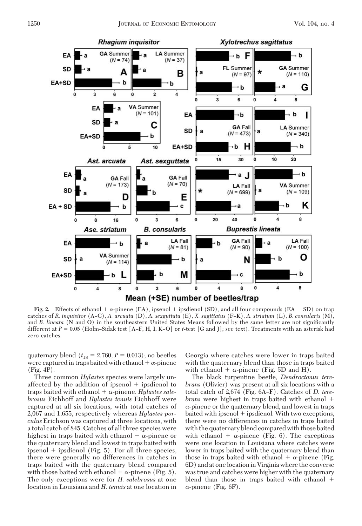

**Fig. 2.** Effects of ethanol  $+ \alpha$ -pinene (EA), ipsenol  $+$  ipsdienol (SD), and all four compounds (EA  $+$  SD) on trap catches of *R. inquisitor* (AÐC), *A. arcuata* (D), *A. sexguttata* (E), *X. sagittatus* (FÐK), *A. striatum* (L), *B. consularis* (M), and *B. lineata* (N and O) in the southeastern United States Means followed by the same letter are not significantly different at *P* = 0.05 (Holm–Sidak test [A–F, H, I, K–O] or *t*-test [G and J]; see text). Treatments with an asterisk had zero catches.

quaternary blend  $(t_{18} = 2.760, P = 0.013)$ ; no beetles were captured in traps baited with ethanol  $+ \alpha$ -pinene (Fig. 4P).

Three common *Hylastes* species were largely unaffected by the addition of ipsenol + ipsdienol to  $t$ raps baited with ethanol +  $\alpha$ -pinene. *Hylastes salebrosus* Eichhoff and *Hylastes tenuis* Eichhoff were captured at all six locations, with total catches of 2,067 and 1,655, respectively whereas *Hylastes porculus* Erichson was captured at three locations, with a total catch of 845. Catches of all three species were highest in traps baited with ethanol  $+ \alpha$ -pinene or the quaternary blend and lowest in traps baited with ipsenol  $+$  ipsdienol (Fig. 5). For all three species, there were generally no differences in catches in traps baited with the quaternary blend compared with those baited with ethanol  $+ \alpha$ -pinene (Fig. 5). The only exceptions were for *H. salebrosus* at one location in Louisiana and *H. tenuis* at one location in

Georgia where catches were lower in traps baited with the quaternary blend than those in traps baited with ethanol  $+ \alpha$ -pinene (Fig. 5D and H).

The black turpentine beetle, *Dendroctonus terebrans* (Olivier) was present at all six locations with a total catch of 2,674 (Fig. 6A–F). Catches of *D. terebrans* were highest in traps baited with ethanol  $\alpha$ -pinene or the quaternary blend, and lowest in traps  $b$ aited with ipsenol  $+$  ipsdienol. With two exceptions, there were no differences in catches in traps baited with the quaternary blend compared with those baited with ethanol  $+ \alpha$ -pinene (Fig. 6). The exceptions were one location in Louisiana where catches were lower in traps baited with the quaternary blend than those in traps baited with ethanol  $+ \alpha$ -pinene (Fig. 6D) and at onelocationin Virginia where the converse was true and catches were higher with the quaternary blend than those in traps baited with ethanol  $\alpha$ -pinene (Fig. 6F).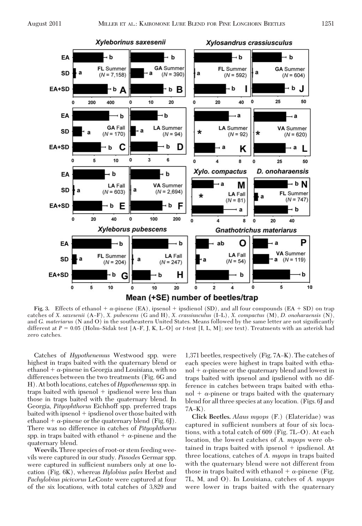

**Fig. 3.** Effects of ethanol  $+\alpha$ -pinene (EA), ipsenol  $+\beta$  ipsdienol (SD), and all four compounds (EA  $+\text{SD}$ ) on trap catches of *X. saxesenii* (AÐF), *X. pubescens* (G and H), *X. crassiusculus* (IÐL), *X. compactus* (M), *D. onoharaensis* (N), and *G. materiarus* (N and O) in the southeastern United States. Means followed by the same letter are not significantly different at  $P = 0.05$  (Holm–Sidak test [A–F, J, K, L–O] or *t*-test [I, L, M]; see text). Treatments with an asterisk had zero catches.

Catches of *Hypothenemus* Westwood spp. were highest in traps baited with the quaternary blend or ethanol  $+ \alpha$ -pinene in Georgia and Louisiana, with no differences between the two treatments (Fig. 6G and H). At both locations, catches of *Hypothenemus*spp. in traps baited with ipsenol + ipsdienol were less than those in traps baited with the quaternary blend. In Georgia, *Pityophthorus* Eichhoff spp. preferred traps baited with ipsenol + ipsdienol over those baited with ethanol  $+ \alpha$ -pinene or the quaternary blend (Fig. 6J). There was no difference in catches of *Pityophthorus* spp. in traps baited with ethanol  $+ \alpha$ -pinene and the quaternary blend.

**Weevils.**Three species of root-or stem feeding weevils were captured in our study. *Pissodes* Germar spp. were captured in sufficient numbers only at one location (Fig. 6K), whereas *Hylobius pales* Herbst and *Pachylobius picivorus* LeConte were captured at four of the six locations, with total catches of 3,829 and

1,371 beetles, respectively (Fig. 7A–K). The catches of each species were highest in traps baited with etha $nol + \alpha$ -pinene or the quaternary blend and lowest in traps baited with ipsenol and ipsdienol with no difference in catches between traps baited with ethanol  $+$   $\alpha$ -pinene or traps baited with the quaternary blend for all three species at any location. (Figs. 6J and  $7A-K$ ).

**Click Beetles.** *Alaus myops* (F.) (Elateridae) was captured in sufficient numbers at four of six locations, with a total catch of  $609$  (Fig.  $7L-O$ ). At each location, the lowest catches of *A. myops* were obtained in traps baited with ipsenol  $+$  ipsdienol. At three locations, catches of *A. myops* in traps baited with the quaternary blend were not different from those in traps baited with ethanol  $+ \alpha$ -pinene (Fig. 7L, M, and O). In Louisiana, catches of *A. myops* were lower in traps baited with the quaternary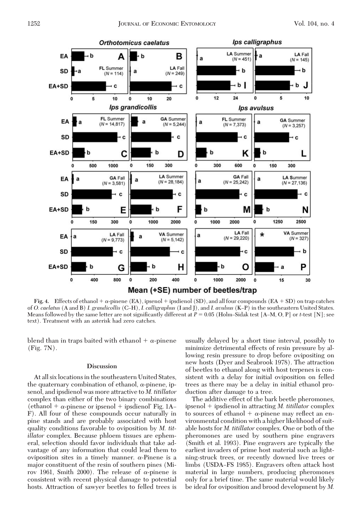

**Fig. 4.** Effects of ethanol  $+\alpha$ -pinene (EA), ipsenol  $+\beta$  ipsdienol (SD), and all four compounds (EA  $+\text{SD}$ ) on trap catches of *O. caelatus* (A and B) *I. grandicollis* (C–H), *I. calligraphus* (I and J), and *I. avulsus* (K–P) in the southeastern United States. Means followed by the same letter are not significantly different at  $P = 0.05$  (Holm–Sidak test [A–M, O, P] or *t*-test [N]; see text). Treatment with an asterisk had zero catches.

blend than in traps baited with ethanol  $+ \alpha$ -pinene (Fig. 7N).

#### **Discussion**

At all six locations in the southeastern United States, the quaternary combination of ethanol,  $\alpha$ -pinene, ipsenol, and ipsdienol was more attractive to *M. titillator* complex than either of the two binary combinations (ethanol  $+ \alpha$ -pinene or ipsenol  $+$  ipsdienol' Fig. 1A– F). All four of these compounds occur naturally in pine stands and are probably associated with host quality conditions favorable to oviposition by *M. titillator* complex. Because phloem tissues are ephemeral, selection should favor individuals that take advantage of any information that could lead them to oviposition sites in a timely manner.  $\alpha$ -Pinene is a major constituent of the resin of southern pines (Mirov 1961, Smith 2000). The release of  $\alpha$ -pinene is consistent with recent physical damage to potential hosts. Attraction of sawyer beetles to felled trees is usually delayed by a short time interval, possibly to minimize detrimental effects of resin pressure by allowing resin pressure to drop before ovipositing on new hosts (Dyer and Seabrook 1978). The attraction of beetles to ethanol along with host terpenes is consistent with a delay for initial oviposition on felled trees as there may be a delay in initial ethanol production after damage to a tree.

The additive effect of the bark beetle pheromones, ipsenol + ipsdienol in attracting *M. titillator* complex to sources of ethanol  $+ \alpha$ -pinene may reflect an environmental condition with a higher likelihood of suitable hosts for *M. titillator* complex. One or both of the pheromones are used by southern pine engravers (Smith et al. 1993). Pine engravers are typically the earliest invaders of prime host material such as lightning-struck trees, or recently downed live trees or limbs (USDA–FS 1985). Engravers often attack host material in large numbers, producing pheromones only for a brief time. The same material would likely be ideal for oviposition and brood development by *M.*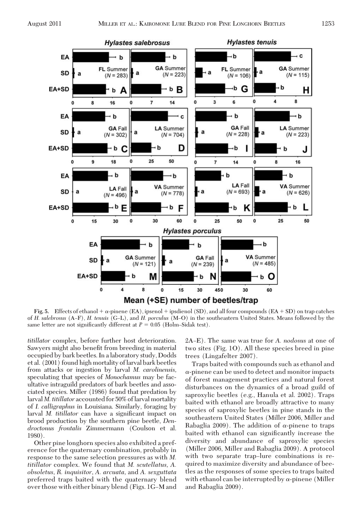

**Fig. 5.** Effects of ethanol  $+ \alpha$ -pinene (EA), ipsenol  $+$  ipsdienol (SD), and all four compounds (EA  $+$  SD) on trap catches of *H. salebrosus* (A-F), *H. tenuis* (G-L), and *H. porculus* (M-O) in the southeastern United States. Means followed by the same letter are not significantly different at  $P = 0.05$  (Holm–Sidak test).

*titillator* complex, before further host deterioration. Sawyers might also benefit from breeding in material occupied by bark beetles. In a laboratory study, Dodds et al. (2001) found high mortality of larval bark beetles from attacks or ingestion by larval *M. carolinensis,* speculating that species of *Monochamus* may be facultative intraguild predators of bark beetles and associated species. Miller (1986) found that predation by larval *M. titillator* accounted for 50% of larval mortality of *I. calligraphus* in Louisiana. Similarly, foraging by larval *M. titillator* can have a significant impact on brood production by the southern pine beetle, *Dendroctonus frontalis* Zimmermann (Coulson et al. 1980).

Other pine longhorn species also exhibited a preference for the quaternary combination, probably in response to the same selection pressures as with *M. titillator* complex. We found that *M. scutellatus, A. obsoletus, R. inquisitor, A. arcuata,* and *A. sexguttata* preferred traps baited with the quaternary blend over those with either binary blend (Figs. 1G–M and

2A–E). The same was true for *A. nodosus* at one of two sites (Fig. 1O). All these species breed in pine trees (Lingafelter 2007).

Traps baited with compounds such as ethanol and  $\alpha$ -pinene can be used to detect and monitor impacts of forest management practices and natural forest disturbances on the dynamics of a broad guild of saproxylic beetles (e.g., Hanula et al. 2002). Traps baited with ethanol are broadly attractive to many species of saproxylic beetles in pine stands in the southeastern United States (Miller 2006, Miller and Rabaglia 2009). The addition of  $\alpha$ -pinene to traps baited with ethanol can significantly increase the diversity and abundance of saproxylic species (Miller 2006, Miller and Rabaglia 2009). A protocol with two separate trap–lure combinations is required to maximize diversity and abundance of beetles as the responses of some species to traps baited with ethanol can be interrupted by  $\alpha$ -pinene (Miller and Rabaglia 2009).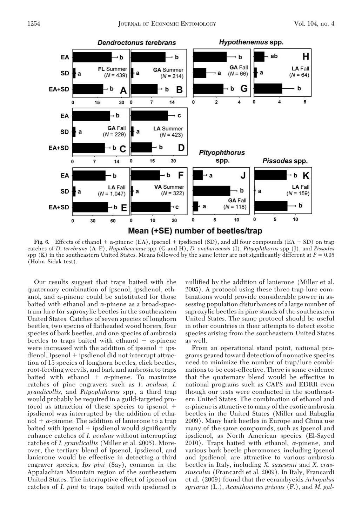

**Fig. 6.** Effects of ethanol  $+ \alpha$ -pinene (EA), ipsenol  $+$  ipsdienol (SD), and all four compounds (EA  $+$  SD) on trap catches of *D. terebrans* (AÐF), *Hypothenemus* spp (G and H), *D. onoharaensis* (I), *Pityophthorus* spp (J), and *Pissodes*  $\text{spp (K)}$  in the southeastern United States. Means followed by the same letter are not significantly different at  $P = 0.05$ (Holm-Sidak test).

Our results suggest that traps baited with the quaternary combination of ipsenol, ipsdienol, ethanol, and  $\alpha$ -pinene could be substituted for those baited with ethanol and  $\alpha$ -pinene as a broad-spectrum lure for saproxylic beetles in the southeastern United States. Catches of seven species of longhorn beetles, two species of ßatheaded wood borers, four species of bark beetles, and one species of ambrosia beetles to traps baited with ethanol +  $\alpha$ -pinene were increased with the addition of ipsenol  $+$  ips $dienol.$  Ipsenol  $+$  ipsdienol did not interrupt attraction of 15 species of longhorn beetles, click beetles, root-feeding weevils, and bark and ambrosia to traps baited with ethanol +  $\alpha$ -pinene. To maximize catches of pine engravers such as *I. avulsus, I. grandicollis,* and *Pityophthorus* spp., a third trap would probably be required in a guild-targeted protocol as attraction of these species to ipsenol ipsdienol was interrupted by the addition of ethanol  $+ \alpha$ -pinene. The addition of lanierone to a trap baited with ipsenol  $+$  ipsdienol would significantly enhance catches of *I. avulsus* without interrupting catches of *I. grandicollis* (Miller et al. 2005). Moreover, the tertiary blend of ipsenol, ipsdienol, and lanierone would be effective in detecting a third engraver species, *Ips pini* (Say), common in the Appalachian Mountain region of the southeastern United States. The interruptive effect of ipsenol on catches of *I. pini* to traps baited with ipsdienol is nullified by the addition of lanierone (Miller et al. 2005). A protocol using these three trap-lure combinations would provide considerable power in assessing population disturbances of a large number of saproxylic beetles in pine stands of the southeastern United States. The same protocol should be useful in other countries in their attempts to detect exotic species arising from the southeastern United States as well.

From an operational stand point, national programs geared toward detection of nonnative species need to minimize the number of trap/lure combinations to be cost-effective. There is some evidence that the quaternary blend would be effective in national programs such as CAPS and EDRR even though our tests were conducted in the southeastern United States. The combination of ethanol and  $\alpha$ -pinene is attractive to many of the exotic ambrosia beetles in the United States (Miller and Rabaglia 2009). Many bark beetles in Europe and China use many of the same compounds, such as ipsenol and ipsdienol, as North American species (El-Sayed 2010). Traps baited with ethanol,  $\alpha$ -pinene, and various bark beetle pheromones, including ipsenol and ipsdienol, are attractive to various ambrosia beetles in Italy, including *X. saxesenii* and *X. crassiusculus* (Francardi et al. 2009). In Italy, Francardi et al. (2009) found that the cerambycids *Arhopalus syriarus* (L.), *Acanthocinus griseus* (F.), and *M. gal-*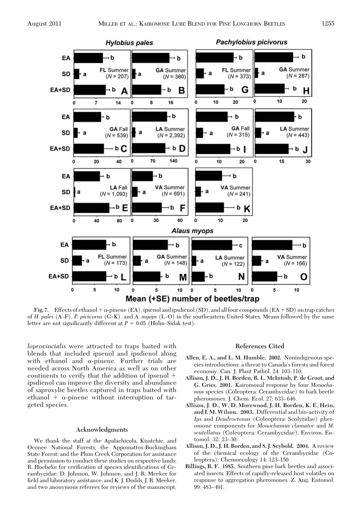

**Fig. 7.** Effects of ethanol +  $\alpha$ -pinene (EA), ipsenol and ipsdienol (SD), and all four compounds (EA + SD) on trap catches of *H. pales* (A–F), *P. picivorus* (G–K). and *A. myops* (L–O) in the southeastern United States. Means followed by the same letter are not significantly different at  $P = 0.05$  (Holm–Sidak test).

*loprovincialis* were attracted to traps baited with blends that included ipsenol and ipsdienol along with ethanol and  $\alpha$ -pinene. Further trials are needed across North America as well as on other continents to verify that the addition of ipsenol ipsdienol can improve the diversity and abundance of saproxylic beetles captured in traps baited with ethanol +  $\alpha$ -pinene without interruption of targeted species.

## **Acknowledgments**

We thank the staff at the Apalachicola, Kisatchie, and Oconee National Forests; the Appomattox-Buckingham State Forest; and the Plum Creek Corporation for assistance and permission to conduct these studies on respective lands; R. Hoebeke for verification of species identifications of Cerambycidae; D. Johnson, W. Johnson, and J. R. Meeker for field and laboratory assistance; and K. J. Dodds, J. R. Meeker, and two anonymous referees for reviews of the manuscript.

### **References Cited**

- **Allen, E. A., and L. M. Humble. 2002.** Nonindigenous species introductions: a threat to Canada's forests and forest economy. Can. J. Plant Pathol. 24: 103-110.
- **Allison, J. D., J. H. Borden, R. L. McIntosh, P. de Groot, and G. Gries. 2001.** Kairomonal response by four *Monochamus* species (Coleoptera: Cerambycidae) to bark beetle pheromones. J. Chem. Ecol. 27: 633-646.
- **Allison, J. D., W. D. Morewood, J. H. Borden, K. E. Hein, and I. M. Wilson. 2003.** Differential and bio-activity of *Ips* and *Dendroctonus* (Coleoptera: Scolytidae) pheromone components for *Monochamus clamator* and *M. scutellatus* (Coleoptera: Cerambycidae). Environ. Entomol. 32: 23-30.
- **Allison, J. D., J. H. Borden, and S. J. Seybold. 2004.** A review of the chemical ecology of the Cerambycidae (Coleoptera). Chemoecology 14: 123-150.
- **Billings, R. F. 1985.** Southern pine bark beetles and associated insects. Effects of rapidly-released host volatiles on response to aggregation pheromones. Z. Ang. Entomol. 99: 483-491.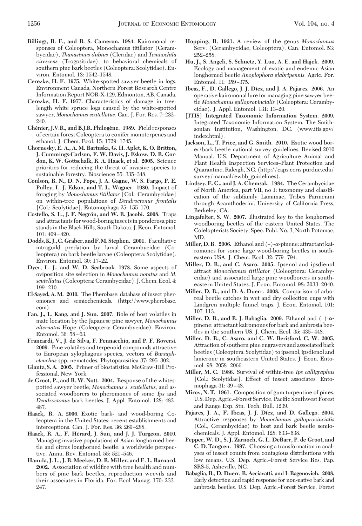- **Billings, R. F., and R. S. Cameron. 1984.** Kairomonal responses of Coleoptera, Monochamus titillator (Cerambycidae), *Thanasimus dubius* (Cleridae) and *Temnochila virescens* (Trogositidae), to behavioral chemicals of southern pine bark beetles (Coleoptera: Scolytidae). Environ. Entomol. 13: 1542-1548.
- **Cerezke, H. F. 1975.** White-spotted sawyer beetle in logs. Environment Canada, Northern Forest Research Centre Information Report NOR-X-129, Edmonton, AB, Canada.
- **Cerezke, H. F. 1977.** Characteristics of damage in treelength white spruce logs caused by the white-spotted sawyer, *Monochamus scutellatus.* Can. J. For. Res. 7: 232-240.
- **Che´nier, J.V.R., and B.J.R. Philoge`ne. 1989.** Field responses of certain forest Coleoptera to conifer monoterpenes and ethanol. J. Chem. Ecol. 15: 1729-1745.
- **Chornesky, E. A., A. M. Bartuska, G. H. Aplet, K. O. Britton, J. Cummings-Carlson, F. W. Davis, J. Eskow, D. R. Gordon, K. W. Gottschalk, R. A. Haack, et al. 2005.** Science priorities for reducing the threat of invasive species to sustainable forestry. Bioscience 55: 335–348.
- **Coulson, R. N., D. N. Pope, J. A. Gagne, W. S. Fargo, P. E. Pulley, L. J. Edson, and T. L. Wagner. 1980.** Impact of foraging by *Monochamus titillator* [Col.: Cerambycidae] on within-tree populations of *Dendroctonus frontalis* [Col.: Scolytidae]. Entomophaga 25: 155–170.
- **Costello, S. L., J. F. Negro´n, and W. R. Jacobi. 2008.** Traps and attractants for wood-boring insects in ponderosa pine stands in the Black Hills, South Dakota. J. Econ. Entomol.  $101: 409 - 420.$
- **Dodds, K. J., C. Graber, and F.M. Stephen. 2001.** Facultative intraguild predation by larval Cerambycidae (Coleoptera) on bark beetle larvae (Coleoptera: Scolytidae). Environ. Entomol. 30: 17-22.
- **Dyer, L. J., and W. D. Seabrook. 1978.** Some aspects of oviposition site selection in *Monochamus notatus* and *M. scutellatus* (Coleoptera: Cerambycidae). J. Chem. Ecol. 4:  $199 - 210$ .
- **El-Sayed, A. M. 2010.** The Pherobase: database of insect pheromones and semiochemicals. (http://www.pherobase. com).
- **Fan, J., L. Kang, and J. Sun. 2007.** Role of host volatiles in mate location by the Japanese pine sawyer, *Monochamus alternatus* Hope (Coleoptera: Cerambycidae). Environ. Entomol. 36: 58 – 63.
- **Francardi, V., J. de Silva, F. Pennacchio, and P. F. Roversi. 2009.** Pine volatiles and terpenoid compounds attractive to European xylophagous species, vectors of *Bursaph*elenchus spp. nematodes. Phytoparasitica 37: 295-302.
- **Glantz, S. A. 2005.** Primer of biostatistics. McGraw-Hill Professional, New York.
- **de Groot, P., and R. W. Nott. 2004.** Response of the whitespotted sawyer beetle, *Monochamus s. scutellatus,* and associated woodborers to pheromones of some *Ips* and *Dendroctonus* bark beetles. J. Appl. Entomol. 128: 483– 487.
- **Haack, R. A. 2006.** Exotic bark- and wood-boring Coleoptera in the United States: recent establishments and interceptions. Can. J. For. Res.  $36: 269-288$ .
- **Haack, R. A., F. He´rard, J. Sun, and J. J. Turgeon. 2010.** Managing invasive populations of Asian longhorned beetle and citrus longhorned beetle: a worldwide perspective. Annu. Rev. Entomol. 55: 521-546.
- **Hanula, J. L., J. R. Meeker, D. R. Miller, and E. L. Barnard.** 2002. Association of wildfire with tree health and numbers of pine bark beetles, reproduction weevils and their associates in Florida. For. Ecol Manag. 170: 233– 247.
- **Hopping, R. 1921.** A review of the genus *Monochamus* Serv. (Cerambycidae, Coleoptera). Can. Entomol. 53: 252-258.
- **Hu, J., S. Angeli, S. Schuetz, Y. Luo, A. E. and Hajek. 2009.** Ecology and management of exotic and endemic Asian longhorned beetle *Anoplophora glabripennis.* Agric. For. Entomol. 11: 359-375.
- **Ibeas, F., D. Gallego, J. J. Dı´ez, and J. A. Pajares. 2006.** An operative kairomonal lure for managing pine sawyer beetle *Monochamus galloprovincialis* (Coleoptera: Cerambycidae). J. Appl. Entomol. 131: 13-20.
- **[ITIS] Integrated Taxonomic Information System. 2009.** Integrated Taxonomic Information System. The Smithsonian Institution, Washington, DC. (www.itis.gov/ index.html).
- **Jackson, L., T. Price, and G. Smith. 2010.** Exotic wood borer/bark beetle national survey guidelines. Revised 2010 Manual. U.S. Department of Agriculture-Animal and Plant Health Inspection Services-Plant Protection and Quarantine, Raleigh, NC. (http://caps.ceris.purdue.edu/ survey/manual/ewbb\_guidelines).
- **Lindsey, E. G., and J. A. Chemsak. 1984.** The Cerambycidae of North America, part VII, no 1: taxonomy and classiÞcation of the subfamily Lamiinae, Tribes Parmenini through Acamthoderini. University of California Press, Berkeley, CA.
- **Lingafelter, S. W. 2007.** Illustrated key to the longhorned woodboring beetles of the eastern United States. The Colelopterists Society, Spec. Publ. No. 3, North Potomac, MD.
- **Miller, D. R. 2006.** Ethanol and  $(-)$ - $\alpha$ -pinene: attractant kairomones for some large wood-boring beetles in southeastern USA. J. Chem. Ecol. 32: 779-794.
- **Miller, D. R., and C. Asaro. 2005.** Ipsenol and ipsdienol attract *Monochamus titillator* (Coleoptera: Cerambycidae) and associated large pine woodborers in southeastern United States. J. Econ. Entomol. 98: 2033-2040.
- **Miller, D. R., and D. A. Duerr. 2008.** Comparison of arboreal beetle catches in wet and dry collection cups with Lindgren multiple funnel traps. J. Econ. Entomol. 101: 107-113.
- **Miller, D. R., and R. J. Rabaglia. 2009.** Ethanol and  $(-)$ - $\alpha$ pinene: attractant kairomones for bark and ambrosia beetles in the southern US. J. Chem. Ecol. 35: 435-448.
- **Miller, D. R., C. Asaro, and C. W. Berisford, C. W. 2005.** Attraction of southern pine engravers and associated bark beetles (Coleoptera: Scolytidae) to ipsenol, ipsdienol and lanierone in southeastern United States. J. Econ. Entomol. 98: 2058-2066.
- **Miller, M. C. 1986.** Survival of within-tree *Ips calligraphus* [Col.: Scolytidae]. Effect of insect associates. Entomophaga 31: 39 – 48.
- **Mirov, N. T. 1961.** Composition of gum turpentine of pines. U.S. Dep. Agric.-Forest Service, Pacific Southwest Forest and Range Exp. Stn. Tech. Bull. 1239.
- **Pajares, J. A., F. Ibeas, J. J. Dı´ez, and D. Gallego. 2004.** Attractive responses by *Monochamus galloprovincialis* (Col., Cerambycidae) to host and bark beetle semiochemicals. J. Appl. Entomol. 128: 633-638.
- **Pepper, W. D., S. J. Zarnoch, G. L. DeBarr, P. de Groot, and C. D. Tangren. 1997.** Choosing a transformation in analyses of insect counts from contagious distributions with low means. U.S. Dep. Agric.-Forest Service Res. Pap. SRS-5, Asheville, NC.
- **Rabaglia, R., D. Duerr, R. Acciavatti, and I. Ragenovich. 2008.** Early detection and rapid response for non-native bark and ambrosia beetles. U.S. Dep. Agric.–Forest Service, Forest